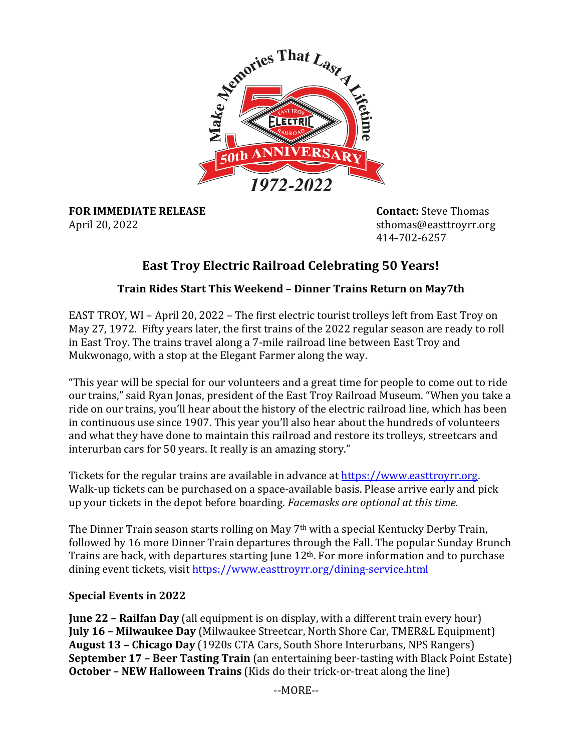

**FOR IMMEDIATE RELEASE <b>CONTACT** Contact: Steve Thomas April 20, 2022 **Sthomas@easttroyrr.org** sthomas@easttroyrr.org

414-702-6257

# **East Troy Electric Railroad Celebrating 50 Years!**

# **Train Rides Start This Weekend – Dinner Trains Return on May7th**

EAST TROY, WI – April 20, 2022 – The first electric tourist trolleys left from East Troy on May 27, 1972. Fifty years later, the first trains of the 2022 regular season are ready to roll in East Troy. The trains travel along a 7-mile railroad line between East Troy and Mukwonago, with a stop at the Elegant Farmer along the way.

"This year will be special for our volunteers and a great time for people to come out to ride our trains," said Ryan Jonas, president of the East Troy Railroad Museum. "When you take a ride on our trains, you'll hear about the history of the electric railroad line, which has been in continuous use since 1907. This year you'll also hear about the hundreds of volunteers and what they have done to maintain this railroad and restore its trolleys, streetcars and interurban cars for 50 years. It really is an amazing story."

Tickets for the regular trains are available in advance at https://www.easttroyrr.org. Walk-up tickets can be purchased on a space-available basis. Please arrive early and pick up your tickets in the depot before boarding. *Facemasks are optional at this time.* 

The Dinner Train season starts rolling on May  $7<sup>th</sup>$  with a special Kentucky Derby Train, followed by 16 more Dinner Train departures through the Fall. The popular Sunday Brunch Trains are back, with departures starting June  $12<sup>th</sup>$ . For more information and to purchase dining event tickets, visit https://www.easttroyrr.org/dining-service.html

# **Special Events in 2022**

**June 22 – Railfan Day** (all equipment is on display, with a different train every hour) **July 16 - Milwaukee Day** (Milwaukee Streetcar, North Shore Car, TMER&L Equipment) **August 13 – Chicago Day** (1920s CTA Cars, South Shore Interurbans, NPS Rangers) **September 17 - Beer Tasting Train** (an entertaining beer-tasting with Black Point Estate) **October - NEW Halloween Trains** (Kids do their trick-or-treat along the line)